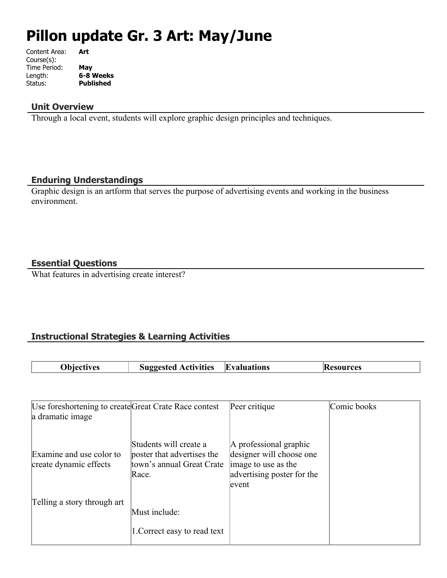# **Pillon update Gr. 3 Art: May/June**

| Content Area: | Art              |
|---------------|------------------|
| Course(s):    |                  |
| Time Period:  | May              |
| Length:       | 6-8 Weeks        |
| Status:       | <b>Published</b> |
|               |                  |

# **Unit Overview**

Through a local event, students will explore graphic design principles and techniques.

#### **Enduring Understandings**

Graphic design is an artform that serves the purpose of advertising events and working in the business environment.

# **Essential Questions**

What features in advertising create interest?

# **Instructional Strategies & Learning Activities**

| <b>Obiectives</b> | <b>Suggested Activities</b> | <b>Evaluations</b> | <b>Resources</b> |
|-------------------|-----------------------------|--------------------|------------------|

| Use foreshortening to create Great Crate Race contest |                                                                                            | Peer critique                                                                                                    | Comic books |
|-------------------------------------------------------|--------------------------------------------------------------------------------------------|------------------------------------------------------------------------------------------------------------------|-------------|
| a dramatic image                                      |                                                                                            |                                                                                                                  |             |
| Examine and use color to<br>create dynamic effects    | Students will create a<br>poster that advertises the<br>town's annual Great Crate<br>Race. | A professional graphic<br>designer will choose one<br>image to use as the<br>advertising poster for the<br>event |             |
| Telling a story through art                           | Must include:                                                                              |                                                                                                                  |             |
|                                                       | 1. Correct easy to read text                                                               |                                                                                                                  |             |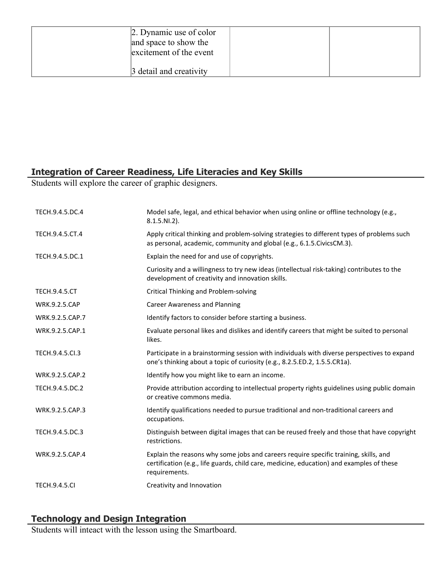| 2. Dynamic use of color<br>and space to show the<br>excitement of the event |  |
|-----------------------------------------------------------------------------|--|
| 3 detail and creativity                                                     |  |

# **Integration of Career Readiness, Life Literacies and Key Skills**

Students will explore the career of graphic designers.

| TECH.9.4.5.DC.4      | Model safe, legal, and ethical behavior when using online or offline technology (e.g.,<br>$8.1.5.NI.2$ ).                                                                                         |
|----------------------|---------------------------------------------------------------------------------------------------------------------------------------------------------------------------------------------------|
| TECH.9.4.5.CT.4      | Apply critical thinking and problem-solving strategies to different types of problems such<br>as personal, academic, community and global (e.g., 6.1.5. Civics CM.3).                             |
| TECH.9.4.5.DC.1      | Explain the need for and use of copyrights.                                                                                                                                                       |
|                      | Curiosity and a willingness to try new ideas (intellectual risk-taking) contributes to the<br>development of creativity and innovation skills.                                                    |
| <b>TECH.9.4.5.CT</b> | Critical Thinking and Problem-solving                                                                                                                                                             |
| <b>WRK.9.2.5.CAP</b> | <b>Career Awareness and Planning</b>                                                                                                                                                              |
| WRK.9.2.5.CAP.7      | Identify factors to consider before starting a business.                                                                                                                                          |
| WRK.9.2.5.CAP.1      | Evaluate personal likes and dislikes and identify careers that might be suited to personal<br>likes.                                                                                              |
| TECH.9.4.5.Cl.3      | Participate in a brainstorming session with individuals with diverse perspectives to expand<br>one's thinking about a topic of curiosity (e.g., 8.2.5.ED.2, 1.5.5.CR1a).                          |
| WRK.9.2.5.CAP.2      | Identify how you might like to earn an income.                                                                                                                                                    |
| TECH.9.4.5.DC.2      | Provide attribution according to intellectual property rights guidelines using public domain<br>or creative commons media.                                                                        |
| WRK.9.2.5.CAP.3      | Identify qualifications needed to pursue traditional and non-traditional careers and<br>occupations.                                                                                              |
| TECH.9.4.5.DC.3      | Distinguish between digital images that can be reused freely and those that have copyright<br>restrictions.                                                                                       |
| WRK.9.2.5.CAP.4      | Explain the reasons why some jobs and careers require specific training, skills, and<br>certification (e.g., life guards, child care, medicine, education) and examples of these<br>requirements. |
| <b>TECH.9.4.5.CI</b> | Creativity and Innovation                                                                                                                                                                         |

# **Technology and Design Integration**

Students will inteact with the lesson using the Smartboard.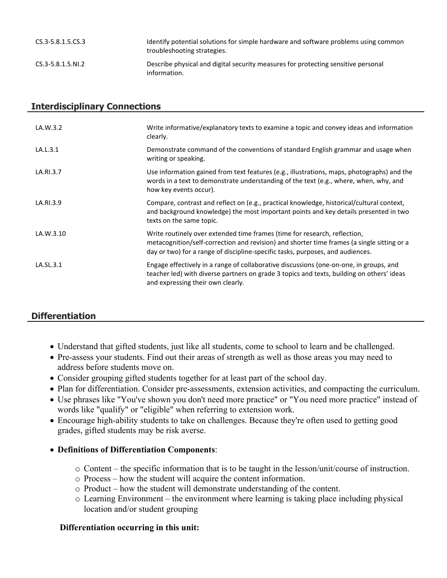| CS.3-5.8.1.5.CS.3      | Identify potential solutions for simple hardware and software problems using common<br>troubleshooting strategies. |
|------------------------|--------------------------------------------------------------------------------------------------------------------|
| $CS.3 - 5.8.1.5. N1.2$ | Describe physical and digital security measures for protecting sensitive personal<br>information.                  |

# **Interdisciplinary Connections**

| LA.W.3.2  | Write informative/explanatory texts to examine a topic and convey ideas and information<br>clearly.                                                                                                                                                       |
|-----------|-----------------------------------------------------------------------------------------------------------------------------------------------------------------------------------------------------------------------------------------------------------|
| LA.L.3.1  | Demonstrate command of the conventions of standard English grammar and usage when<br>writing or speaking.                                                                                                                                                 |
| LA.RI.3.7 | Use information gained from text features (e.g., illustrations, maps, photographs) and the<br>words in a text to demonstrate understanding of the text (e.g., where, when, why, and<br>how key events occur).                                             |
| LA.RI.3.9 | Compare, contrast and reflect on (e.g., practical knowledge, historical/cultural context,<br>and background knowledge) the most important points and key details presented in two<br>texts on the same topic.                                             |
| LA.W.3.10 | Write routinely over extended time frames (time for research, reflection,<br>metacognition/self-correction and revision) and shorter time frames (a single sitting or a<br>day or two) for a range of discipline-specific tasks, purposes, and audiences. |
| LA.SL.3.1 | Engage effectively in a range of collaborative discussions (one-on-one, in groups, and<br>teacher led) with diverse partners on grade 3 topics and texts, building on others' ideas<br>and expressing their own clearly.                                  |

# **Differentiation**

- Understand that gifted students, just like all students, come to school to learn and be challenged.
- Pre-assess your students. Find out their areas of strength as well as those areas you may need to address before students move on.
- Consider grouping gifted students together for at least part of the school day.
- Plan for differentiation. Consider pre-assessments, extension activities, and compacting the curriculum.
- Use phrases like "You've shown you don't need more practice" or "You need more practice" instead of words like "qualify" or "eligible" when referring to extension work.
- Encourage high-ability students to take on challenges. Because they're often used to getting good grades, gifted students may be risk averse.

## **Definitions of Differentiation Components**:

- o Content the specific information that is to be taught in the lesson/unit/course of instruction.
- o Process how the student will acquire the content information.
- o Product how the student will demonstrate understanding of the content.
- o Learning Environment the environment where learning is taking place including physical location and/or student grouping

#### **Differentiation occurring in this unit:**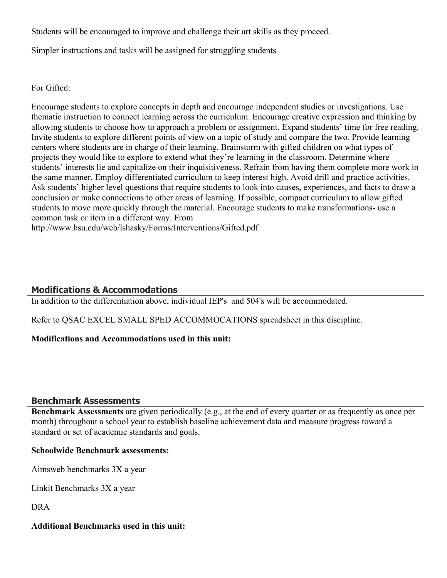Students will be encouraged to improve and challenge their art skills as they proceed.

Simpler instructions and tasks will be assigned for struggling students

For Gifted:

Encourage students to explore concepts in depth and encourage independent studies or investigations. Use thematic instruction to connect learning across the curriculum. Encourage creative expression and thinking by allowing students to choose how to approach a problem or assignment. Expand students' time for free reading. Invite students to explore different points of view on a topic of study and compare the two. Provide learning centers where students are in charge of their learning. Brainstorm with gifted children on what types of projects they would like to explore to extend what they're learning in the classroom. Determine where students' interests lie and capitalize on their inquisitiveness. Refrain from having them complete more work in the same manner. Employ differentiated curriculum to keep interest high. Avoid drill and practice activities. Ask students' higher level questions that require students to look into causes, experiences, and facts to draw a conclusion or make connections to other areas of learning. If possible, compact curriculum to allow gifted students to move more quickly through the material. Encourage students to make transformations- use a common task or item in a different way. From http://www.bsu.edu/web/lshasky/Forms/Interventions/Gifted.pdf

# **Modifications & Accommodations**

In addition to the differentiation above, individual IEP's and 504's will be accommodated.

Refer to QSAC EXCEL SMALL SPED ACCOMMOCATIONS spreadsheet in this discipline.

## **Modifications and Accommodations used in this unit:**

## **Benchmark Assessments**

**Benchmark Assessments** are given periodically (e.g., at the end of every quarter or as frequently as once per month) throughout a school year to establish baseline achievement data and measure progress toward a standard or set of academic standards and goals.

## **Schoolwide Benchmark assessments:**

Aimsweb benchmarks 3X a year

Linkit Benchmarks 3X a year

DRA

## **Additional Benchmarks used in this unit:**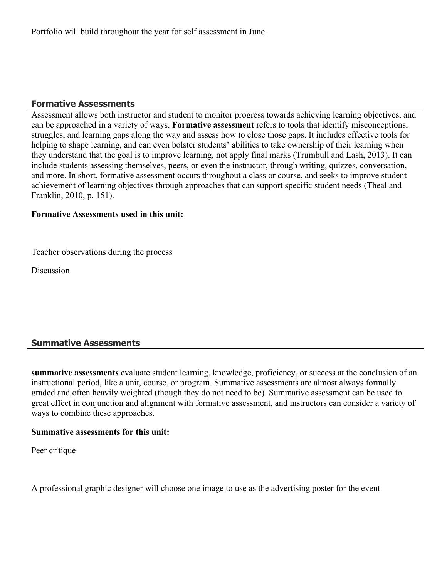Portfolio will build throughout the year for self assessment in June.

# **Formative Assessments**

Assessment allows both instructor and student to monitor progress towards achieving learning objectives, and can be approached in a variety of ways. **Formative assessment** refers to tools that identify misconceptions, struggles, and learning gaps along the way and assess how to close those gaps. It includes effective tools for helping to shape learning, and can even bolster students' abilities to take ownership of their learning when they understand that the goal is to improve learning, not apply final marks (Trumbull and Lash, 2013). It can include students assessing themselves, peers, or even the instructor, through writing, quizzes, conversation, and more. In short, formative assessment occurs throughout a class or course, and seeks to improve student achievement of learning objectives through approaches that can support specific student needs (Theal and Franklin, 2010, p. 151).

#### **Formative Assessments used in this unit:**

Teacher observations during the process

**Discussion** 

# **Summative Assessments**

**summative assessments** evaluate student learning, knowledge, proficiency, or success at the conclusion of an instructional period, like a unit, course, or program. Summative assessments are almost always formally graded and often heavily weighted (though they do not need to be). Summative assessment can be used to great effect in conjunction and alignment with formative assessment, and instructors can consider a variety of ways to combine these approaches.

#### **Summative assessments for this unit:**

Peer critique

A professional graphic designer will choose one image to use as the advertising poster for the event